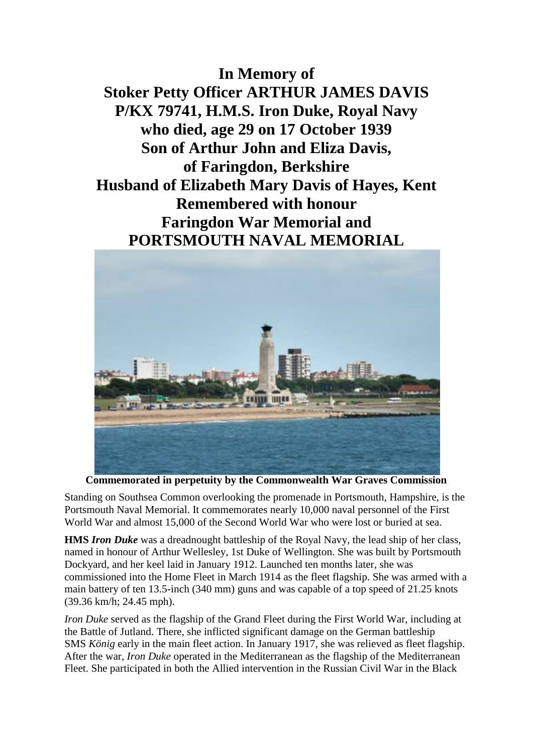**In Memory of Stoker Petty Officer ARTHUR JAMES DAVIS P/KX 79741, H.M.S. Iron Duke, Royal Navy who died, age 29 on 17 October 1939 Son of Arthur John and Eliza Davis, of Faringdon, Berkshire Husband of Elizabeth Mary Davis of Hayes, Kent Remembered with honour Faringdon War Memorial and PORTSMOUTH NAVAL MEMORIAL**



**Commemorated in perpetuity by the Commonwealth War Graves Commission**

Standing on Southsea Common overlooking the promenade in Portsmouth, Hampshire, is the Portsmouth Naval Memorial. It commemorates nearly 10,000 naval personnel of the First World War and almost 15,000 of the Second World War who were lost or buried at sea.

**HMS** *Iron Duke* was a dreadnought battleship of the Royal Navy, the lead ship of her class, named in honour of Arthur Wellesley, 1st Duke of Wellington. She was built by Portsmouth Dockyard, and her keel laid in January 1912. Launched ten months later, she was commissioned into the Home Fleet in March 1914 as the fleet flagship. She was armed with a main battery of ten 13.5-inch (340 mm) guns and was capable of a top speed of 21.25 knots (39.36 km/h; 24.45 mph).

*Iron Duke* served as the flagship of the Grand Fleet during the First World War, including at the Battle of Jutland. There, she inflicted significant damage on the German battleship SMS *König* early in the main fleet action. In January 1917, she was relieved as fleet flagship. After the war, *Iron Duke* operated in the Mediterranean as the flagship of the Mediterranean Fleet. She participated in both the Allied intervention in the Russian Civil War in the Black